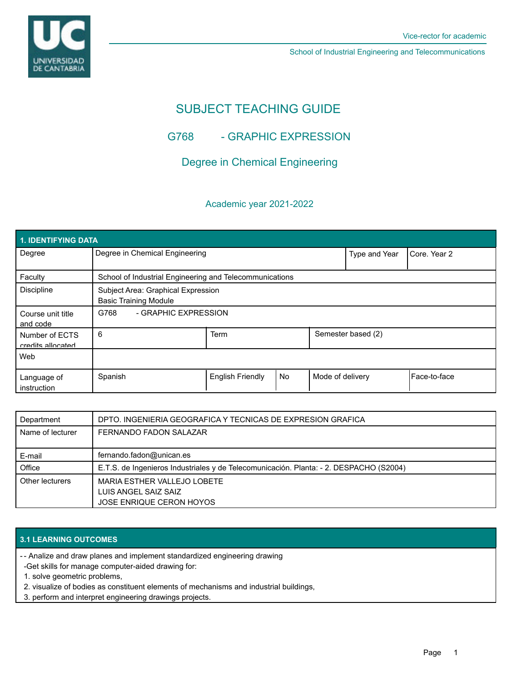UNIVERSIDAD<br>DE CANTABRIA

School of Industrial Engineering and Telecommunications

# SUBJECT TEACHING GUIDE

# G768 - GRAPHIC EXPRESSION

# Degree in Chemical Engineering

### Academic year 2021-2022

| 1. IDENTIFYING DATA                 |                                                                    |                         |    |                    |              |              |  |  |  |
|-------------------------------------|--------------------------------------------------------------------|-------------------------|----|--------------------|--------------|--------------|--|--|--|
| Degree                              | Degree in Chemical Engineering                                     |                         |    | Type and Year      | Core, Year 2 |              |  |  |  |
| Faculty                             | School of Industrial Engineering and Telecommunications            |                         |    |                    |              |              |  |  |  |
| <b>Discipline</b>                   | Subject Area: Graphical Expression<br><b>Basic Training Module</b> |                         |    |                    |              |              |  |  |  |
| Course unit title<br>and code       | - GRAPHIC EXPRESSION<br>G768                                       |                         |    |                    |              |              |  |  |  |
| Number of ECTS<br>credits allocated | 6                                                                  | Term                    |    | Semester based (2) |              |              |  |  |  |
| Web                                 |                                                                    |                         |    |                    |              |              |  |  |  |
| Language of<br>instruction          | Spanish                                                            | <b>English Friendly</b> | No | Mode of delivery   |              | Face-to-face |  |  |  |

| Department       | DPTO. INGENIERIA GEOGRAFICA Y TECNICAS DE EXPRESION GRAFICA                            |
|------------------|----------------------------------------------------------------------------------------|
| Name of lecturer | FERNANDO FADON SALAZAR                                                                 |
|                  |                                                                                        |
| E-mail           | fernando.fadon@unican.es                                                               |
| Office           | E.T.S. de Ingenieros Industriales y de Telecomunicación. Planta: - 2. DESPACHO (S2004) |
| Other lecturers  | MARIA ESTHER VALLEJO LOBETE                                                            |
|                  | LUIS ANGEL SAIZ SAIZ                                                                   |
|                  | JOSE ENRIQUE CERON HOYOS                                                               |

### **3.1 LEARNING OUTCOMES**

- Analize and draw planes and implement standardized engineering drawing -

- -Get skills for manage computer-aided drawing for:
- 1. solve geometric problems,
- 2. visualize of bodies as constituent elements of mechanisms and industrial buildings,
- 3. perform and interpret engineering drawings projects.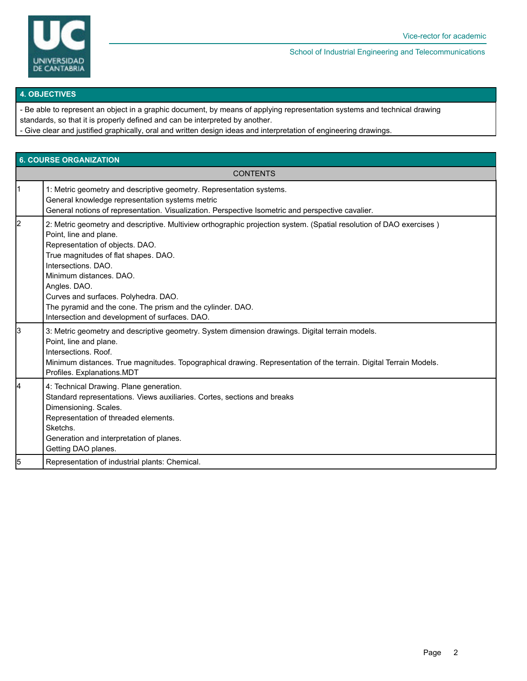

School of Industrial Engineering and Telecommunications

### **4. OBJECTIVES**

- Be able to represent an object in a graphic document, by means of applying representation systems and technical drawing standards, so that it is properly defined and can be interpreted by another.

- Give clear and justified graphically, oral and written design ideas and interpretation of engineering drawings.

|    | <b>6. COURSE ORGANIZATION</b>                                                                                                                                                                                                                                                                                                                                                                                                                      |  |  |  |  |  |
|----|----------------------------------------------------------------------------------------------------------------------------------------------------------------------------------------------------------------------------------------------------------------------------------------------------------------------------------------------------------------------------------------------------------------------------------------------------|--|--|--|--|--|
|    | <b>CONTENTS</b>                                                                                                                                                                                                                                                                                                                                                                                                                                    |  |  |  |  |  |
| 11 | 1: Metric geometry and descriptive geometry. Representation systems.<br>General knowledge representation systems metric<br>General notions of representation. Visualization. Perspective Isometric and perspective cavalier.                                                                                                                                                                                                                       |  |  |  |  |  |
| l2 | 2: Metric geometry and descriptive. Multiview orthographic projection system. (Spatial resolution of DAO exercises)<br>Point, line and plane.<br>Representation of objects. DAO.<br>True magnitudes of flat shapes. DAO.<br>Intersections, DAO.<br>Minimum distances, DAO.<br>Angles. DAO.<br>Curves and surfaces. Polyhedra. DAO.<br>The pyramid and the cone. The prism and the cylinder. DAO.<br>Intersection and development of surfaces. DAO. |  |  |  |  |  |
| Iз | 3: Metric geometry and descriptive geometry. System dimension drawings. Digital terrain models.<br>Point, line and plane.<br>Intersections. Roof.<br>Minimum distances. True magnitudes. Topographical drawing. Representation of the terrain. Digital Terrain Models.<br>Profiles. Explanations.MDT                                                                                                                                               |  |  |  |  |  |
| 14 | 4: Technical Drawing. Plane generation.<br>Standard representations. Views auxiliaries. Cortes, sections and breaks<br>Dimensioning. Scales.<br>Representation of threaded elements.<br>Sketchs.<br>Generation and interpretation of planes.<br>Getting DAO planes.                                                                                                                                                                                |  |  |  |  |  |
| 5  | Representation of industrial plants: Chemical.                                                                                                                                                                                                                                                                                                                                                                                                     |  |  |  |  |  |